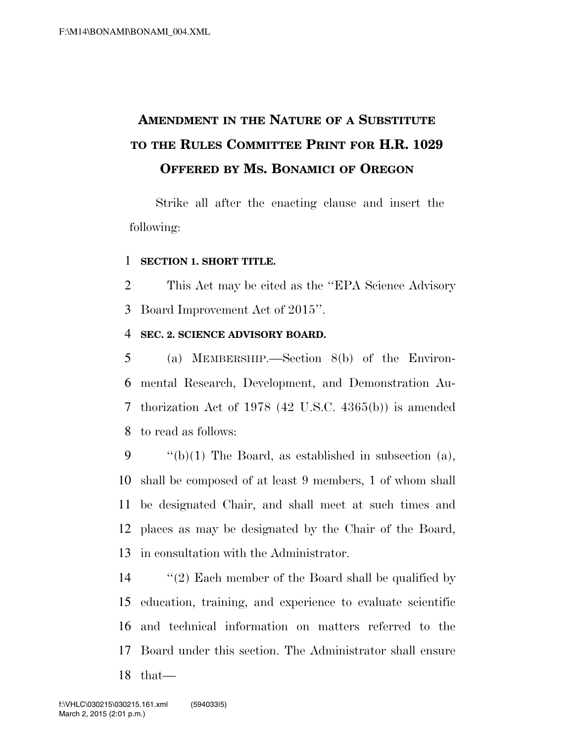# **AMENDMENT IN THE NATURE OF A SUBSTITUTE TO THE RULES COMMITTEE PRINT FOR H.R. 1029 OFFERED BY MS. BONAMICI OF OREGON**

Strike all after the enacting clause and insert the following:

#### **SECTION 1. SHORT TITLE.**

 This Act may be cited as the ''EPA Science Advisory Board Improvement Act of 2015''.

#### **SEC. 2. SCIENCE ADVISORY BOARD.**

 (a) MEMBERSHIP.—Section 8(b) of the Environ- mental Research, Development, and Demonstration Au- thorization Act of 1978 (42 U.S.C. 4365(b)) is amended to read as follows:

 $\qquad$  "(b)(1) The Board, as established in subsection (a), shall be composed of at least 9 members, 1 of whom shall be designated Chair, and shall meet at such times and places as may be designated by the Chair of the Board, in consultation with the Administrator.

 ''(2) Each member of the Board shall be qualified by education, training, and experience to evaluate scientific and technical information on matters referred to the Board under this section. The Administrator shall ensure that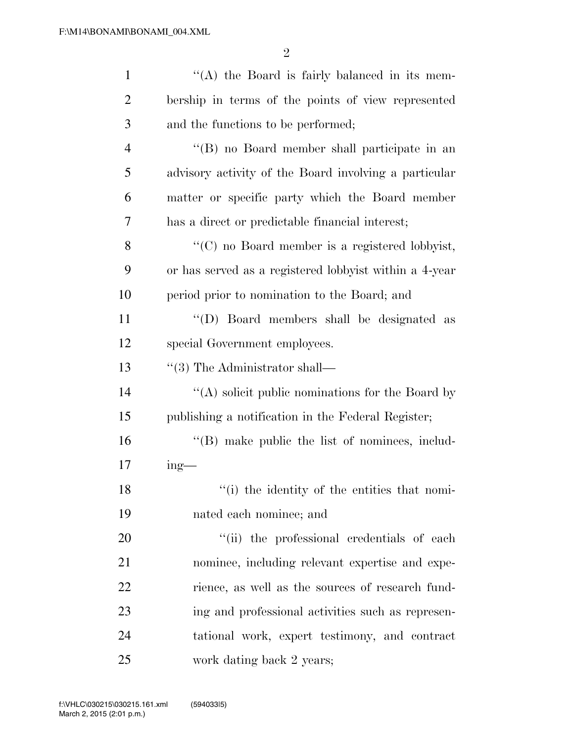2

| $\mathbf{1}$   | $\lq\lq$ the Board is fairly balanced in its mem-       |
|----------------|---------------------------------------------------------|
| $\overline{2}$ | bership in terms of the points of view represented      |
| 3              | and the functions to be performed;                      |
| $\overline{4}$ | "(B) no Board member shall participate in an            |
| 5              | advisory activity of the Board involving a particular   |
| 6              | matter or specific party which the Board member         |
| 7              | has a direct or predictable financial interest;         |
| 8              | "(C) no Board member is a registered lobbyist,          |
| 9              | or has served as a registered lobby ist within a 4-year |
| 10             | period prior to nomination to the Board; and            |
| 11             | "(D) Board members shall be designated as               |
| 12             | special Government employees.                           |
| 13             | $\lq(3)$ The Administrator shall—                       |
| 14             | $\lq\lq$ solicit public nominations for the Board by    |
| 15             | publishing a notification in the Federal Register;      |
| 16             | "(B) make public the list of nominees, includ-          |
| 17             | $ing$ —                                                 |
| 18             | "(i) the identity of the entities that nomi-            |
| 19             | nated each nominee; and                                 |
| 20             | "(ii) the professional credentials of each              |
| 21             | nominee, including relevant expertise and expe-         |
| 22             | rience, as well as the sources of research fund-        |
| 23             | ing and professional activities such as represen-       |
| 24             | tational work, expert testimony, and contract           |
| 25             | work dating back 2 years;                               |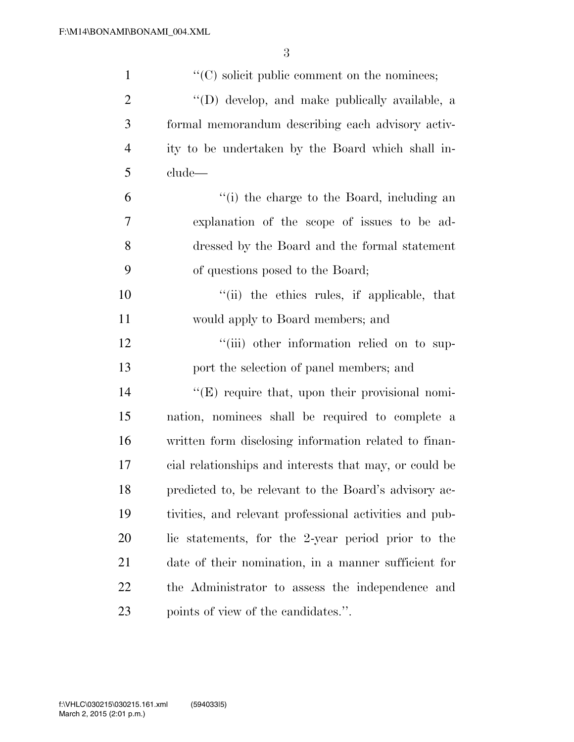| $\mathbf{1}$   | $\cdot\cdot$ (C) solicit public comment on the nominees; |
|----------------|----------------------------------------------------------|
| $\overline{2}$ | "(D) develop, and make publically available, a           |
| 3              | formal memorandum describing each advisory activ-        |
| $\overline{4}$ | ity to be undertaken by the Board which shall in-        |
| 5              | clude—                                                   |
| 6              | "(i) the charge to the Board, including an               |
| 7              | explanation of the scope of issues to be ad-             |
| 8              | dressed by the Board and the formal statement            |
| 9              | of questions posed to the Board;                         |
| 10             | "(ii) the ethics rules, if applicable, that              |
| 11             | would apply to Board members; and                        |
| 12             | "(iii) other information relied on to sup-               |
| 13             | port the selection of panel members; and                 |
| 14             | $\lq\lq$ (E) require that, upon their provisional nomi-  |
| 15             | nation, nominees shall be required to complete a         |
| 16             | written form disclosing information related to finan-    |
| 17             | cial relationships and interests that may, or could be   |
| 18             | predicted to, be relevant to the Board's advisory ac-    |
| 19             | tivities, and relevant professional activities and pub-  |
| 20             | lic statements, for the 2-year period prior to the       |
| 21             | date of their nomination, in a manner sufficient for     |
| 22             | the Administrator to assess the independence and         |
| 23             | points of view of the candidates.".                      |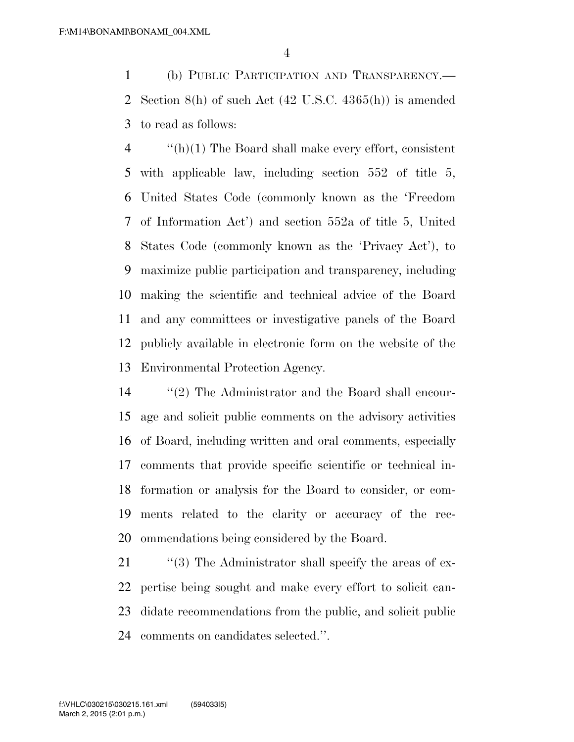(b) PUBLIC PARTICIPATION AND TRANSPARENCY.— Section 8(h) of such Act (42 U.S.C. 4365(h)) is amended to read as follows:

 $\frac{4}{2}$  ''(h)(1) The Board shall make every effort, consistent with applicable law, including section 552 of title 5, United States Code (commonly known as the 'Freedom of Information Act') and section 552a of title 5, United States Code (commonly known as the 'Privacy Act'), to maximize public participation and transparency, including making the scientific and technical advice of the Board and any committees or investigative panels of the Board publicly available in electronic form on the website of the Environmental Protection Agency.

 ''(2) The Administrator and the Board shall encour- age and solicit public comments on the advisory activities of Board, including written and oral comments, especially comments that provide specific scientific or technical in- formation or analysis for the Board to consider, or com- ments related to the clarity or accuracy of the rec-ommendations being considered by the Board.

21 "(3) The Administrator shall specify the areas of ex- pertise being sought and make every effort to solicit can- didate recommendations from the public, and solicit public comments on candidates selected.''.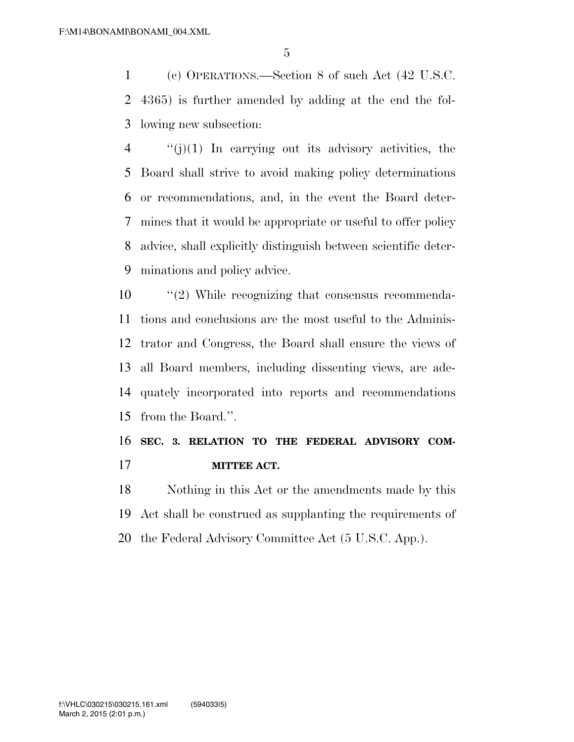(c) OPERATIONS.—Section 8 of such Act (42 U.S.C. 4365) is further amended by adding at the end the fol-lowing new subsection:

 $\frac{4}{10}$  ''(j)(1) In carrying out its advisory activities, the Board shall strive to avoid making policy determinations or recommendations, and, in the event the Board deter- mines that it would be appropriate or useful to offer policy advice, shall explicitly distinguish between scientific deter-minations and policy advice.

 ''(2) While recognizing that consensus recommenda- tions and conclusions are the most useful to the Adminis- trator and Congress, the Board shall ensure the views of all Board members, including dissenting views, are ade- quately incorporated into reports and recommendations from the Board.''.

## **SEC. 3. RELATION TO THE FEDERAL ADVISORY COM-MITTEE ACT.**

 Nothing in this Act or the amendments made by this Act shall be construed as supplanting the requirements of the Federal Advisory Committee Act (5 U.S.C. App.).